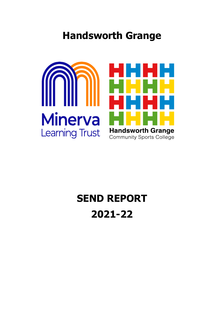## **Handsworth Grange**



## **SEND REPORT 2021-22**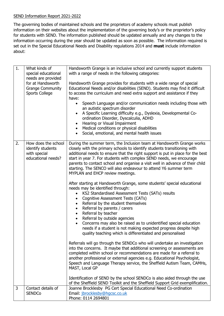## SEND Information Report 2021-2022

The governing bodies of maintained schools and the proprietors of academy schools must publish information on their websites about the implementation of the governing body's or the proprietor's policy for students with SEND. The information published should be updated annually and any changes to the information occurring during the year should be updated as soon as possible. The information required is set out in the Special Educational Needs and Disability regulations 2014 and **must** include information about:

| 1. | What kinds of<br>special educational<br>needs are provided                     | Handsworth Grange is an inclusive school and currently support students<br>with a range of needs in the following categories:                                                                                                                                                                                                                                                                                                                                                                                                                                                                                       |
|----|--------------------------------------------------------------------------------|---------------------------------------------------------------------------------------------------------------------------------------------------------------------------------------------------------------------------------------------------------------------------------------------------------------------------------------------------------------------------------------------------------------------------------------------------------------------------------------------------------------------------------------------------------------------------------------------------------------------|
|    | for at Handsworth<br><b>Grange Community</b><br><b>Sports College</b>          | Handsworth Grange provides for students with a wide range of special<br>Educational Needs and/or disabilities (SEND). Students may find it difficult<br>to access the curriculum and need extra support and assistance if they<br>have:                                                                                                                                                                                                                                                                                                                                                                             |
|    |                                                                                | Speech Language and/or communication needs including those with<br>$\bullet$<br>an autistic spectrum disorder<br>A Specific Learning difficulty e.g., Dyslexia, Developmental Co-<br>$\bullet$<br>ordination Disorder, Dyscalculia, ADHD<br>Hearing or Visual Impairment<br>$\bullet$<br>Medical conditions or physical disabilities<br>$\bullet$<br>Social, emotional, and mental health issues<br>$\bullet$                                                                                                                                                                                                       |
| 2. | How does the school<br>identify students<br>with special<br>educational needs? | During the summer term, the Inclusion team at Handsworth Grange works<br>closely with the primary schools to identify students transitioning with<br>additional needs to ensure that the right support is put in place for the best<br>start in year 7. For students with complex SEND needs, we encourage<br>parents to contact school and organise a visit well in advance of their child<br>starting. The SENCO will also endeavour to attend Y6 summer term<br>MYPLAN and EHCP review meetings.                                                                                                                 |
|    |                                                                                | After starting at Handsworth Grange, some students' special educational<br>needs may be identified through:<br>KS2 Standardised Assessment Tests (SATs) results<br>Cognitive Assessment Tests (CATs)<br>$\bullet$<br>Referral by the student themselves<br>$\bullet$<br>Referral by parents / carers<br>$\bullet$<br>Referral by teacher<br>$\bullet$<br>Referral by outside agencies<br>$\bullet$<br>Concerns may also be raised as to unidentified special education<br>$\bullet$<br>needs if a student is not making expected progress despite high<br>quality teaching which is differentiated and personalised |
|    |                                                                                | Referrals will go through the SENDCo who will undertake an investigation<br>into the concerns. It maybe that additional screening or assessments are<br>completed within school or recommendations are made for a referral to<br>another professional or external agencies e.g. Educational Psychologist,<br>Speech and Language Therapy service, the Sheffield Autism Team, CAMHs,<br>MAST, Local GP                                                                                                                                                                                                               |
|    |                                                                                | Identification of SEND by the school SENDCo is also aided through the use<br>of the Sheffield SEND Toolkit and the Sheffield Support Grid exemplification.                                                                                                                                                                                                                                                                                                                                                                                                                                                          |
| 3  | Contact details of<br><b>SENDCo</b>                                            | Joanne Brocklesby PG Cert Special Educational Need Co-ordination<br>Email: jbrocklesby@hgcsc.co.uk<br>Phone: 0114 2694801                                                                                                                                                                                                                                                                                                                                                                                                                                                                                           |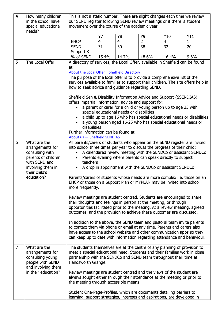| $\overline{4}$ | How many children<br>in the school have<br>special educational                                                                  | This is not a static number. There are slight changes each time we review<br>our SEND register following SEND review meetings or if there is student<br>movement over the course of the academic year.                                                                                                                                                                                                                                                                                                                                                                                                                                                                                                                                                                                                                                                                                                                                                                                                                                                                                                                                                     |                             |                      |                      |                       |                     |
|----------------|---------------------------------------------------------------------------------------------------------------------------------|------------------------------------------------------------------------------------------------------------------------------------------------------------------------------------------------------------------------------------------------------------------------------------------------------------------------------------------------------------------------------------------------------------------------------------------------------------------------------------------------------------------------------------------------------------------------------------------------------------------------------------------------------------------------------------------------------------------------------------------------------------------------------------------------------------------------------------------------------------------------------------------------------------------------------------------------------------------------------------------------------------------------------------------------------------------------------------------------------------------------------------------------------------|-----------------------------|----------------------|----------------------|-----------------------|---------------------|
|                | needs?                                                                                                                          |                                                                                                                                                                                                                                                                                                                                                                                                                                                                                                                                                                                                                                                                                                                                                                                                                                                                                                                                                                                                                                                                                                                                                            |                             |                      |                      |                       |                     |
|                |                                                                                                                                 | <b>EHCP</b>                                                                                                                                                                                                                                                                                                                                                                                                                                                                                                                                                                                                                                                                                                                                                                                                                                                                                                                                                                                                                                                                                                                                                | <b>Y7</b><br>$\overline{4}$ | Y8<br>$\overline{4}$ | Υ9<br>$\overline{2}$ | Y10<br>$\overline{4}$ | Y11<br>$\mathbf{1}$ |
|                |                                                                                                                                 | <b>SEND</b>                                                                                                                                                                                                                                                                                                                                                                                                                                                                                                                                                                                                                                                                                                                                                                                                                                                                                                                                                                                                                                                                                                                                                | 31                          | 30                   | 38                   | 32                    | 20                  |
|                |                                                                                                                                 | Support K                                                                                                                                                                                                                                                                                                                                                                                                                                                                                                                                                                                                                                                                                                                                                                                                                                                                                                                                                                                                                                                                                                                                                  |                             |                      |                      |                       |                     |
|                |                                                                                                                                 | % of SEND                                                                                                                                                                                                                                                                                                                                                                                                                                                                                                                                                                                                                                                                                                                                                                                                                                                                                                                                                                                                                                                                                                                                                  | 15.4%                       | 14.7%                | 18.6%                | 16.4%                 | 9.6%                |
| 5              | The Local Offer                                                                                                                 | A directory of services, the Local Offer, available in Sheffield can be found                                                                                                                                                                                                                                                                                                                                                                                                                                                                                                                                                                                                                                                                                                                                                                                                                                                                                                                                                                                                                                                                              |                             |                      |                      |                       |                     |
|                |                                                                                                                                 | at<br>About the Local Offer   Sheffield Directory<br>The purpose of the local offer is to provide a comprehensive list of the<br>services available to families to support their children. The site offers help in<br>how to seek advice and guidance regarding SEND.<br>Sheffield Sen & Disability Information Advice and Support (SSENDIAS)<br>offers impartial information, advice and support for:<br>a parent or carer for a child or young person up to age 25 with<br>special educational needs or disabilities<br>a child up to age 16 who has special educational needs or disabilities<br>a young person aged 16-25 who has special educational needs or<br>disabilities<br>Further information can be found at                                                                                                                                                                                                                                                                                                                                                                                                                                  |                             |                      |                      |                       |                     |
| 6              | What are the                                                                                                                    | About us - Sheffield SENDIAS                                                                                                                                                                                                                                                                                                                                                                                                                                                                                                                                                                                                                                                                                                                                                                                                                                                                                                                                                                                                                                                                                                                               |                             |                      |                      |                       |                     |
|                | arrangements for<br>consulting with<br>parents of children<br>with SEND and<br>involving them in<br>their child's<br>education? | All parents/carers of students who appear on the SEND register are invited<br>into school three times per year to discuss the progress of their child:<br>A calendared review meeting with the SENDCo or assistant SENDCo<br>Parents evening where parents can speak directly to subject<br>teachers<br>A drop in appointment with the SENDCo or assistant SENDCo<br>Parents/carers of students whose needs are more complex i.e. those on an<br>EHCP or those on a Support Plan or MYPLAN may be invited into school<br>more frequently.<br>Review meetings are student centred. Students are encouraged to share<br>their thoughts and feelings in person at the meeting, or through<br>opportunities facilitated prior to the meeting. At a review meeting, agreed<br>outcomes, and the provision to achieve these outcomes are discussed.<br>In addition to the above, the SEND team and pastoral team invite parents<br>to contact them via phone or email at any time. Parents and carers also<br>have access to the school website and other communication apps so they<br>can keep up to date with information regarding attendance and behaviour. |                             |                      |                      |                       |                     |
| $\overline{7}$ | What are the<br>arrangements for<br>consulting young<br>people with SEND<br>and involving them<br>in their education?           | The students themselves are at the centre of any planning of provision to<br>meet a special educational need. Students and their families work in close<br>partnership with the SENDCo and SEND team throughout their time at<br>Handsworth Grange.<br>Review meetings are student centred and the views of the student are<br>always sought either through their attendance at the meeting or prior to<br>the meeting through accessible means<br>Student One-Page-Profiles, which are documents detailing barriers to<br>learning, support strategies, interests and aspirations, are developed in                                                                                                                                                                                                                                                                                                                                                                                                                                                                                                                                                       |                             |                      |                      |                       |                     |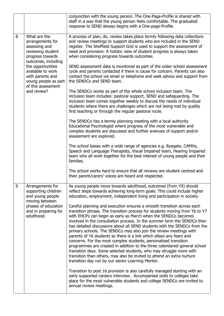|   |                                                                                                                                                                                                                                              | conjunction with the young person. The One-Page-Profile is shared with<br>staff in a way that the young person feels comfortable. The graduated<br>response to SEND always begins with a One-page-Profile.                                                                                                                                                                                                                                                                                                                                                                                                                                                                                                                                                                                                                                                                            |  |  |
|---|----------------------------------------------------------------------------------------------------------------------------------------------------------------------------------------------------------------------------------------------|---------------------------------------------------------------------------------------------------------------------------------------------------------------------------------------------------------------------------------------------------------------------------------------------------------------------------------------------------------------------------------------------------------------------------------------------------------------------------------------------------------------------------------------------------------------------------------------------------------------------------------------------------------------------------------------------------------------------------------------------------------------------------------------------------------------------------------------------------------------------------------------|--|--|
| 8 | What are the<br>arrangements for<br>assessing and<br>reviewing student<br>progress towards<br>outcomes, including<br>the opportunities<br>available to work<br>with parents and<br>young people as part<br>of this assessment<br>and review? | A process of plan, do, review takes place termly following data collections<br>and review meetings to support students who are included in the SEND<br>register. The Sheffield Support Grid is used to support the assessment of<br>need and provision. A holistic view of student progress is always taken<br>when considering progress towards outcomes.                                                                                                                                                                                                                                                                                                                                                                                                                                                                                                                            |  |  |
|   |                                                                                                                                                                                                                                              | SEND assessment data is monitored as part of the wider school assessment<br>cycle and parents contacted if there is cause for concern. Parents can also<br>contact the school via email or telephone and seek advice and support from<br>the SENDCo and SEND team.                                                                                                                                                                                                                                                                                                                                                                                                                                                                                                                                                                                                                    |  |  |
|   |                                                                                                                                                                                                                                              | The SENDCo works as part of the whole school inclusion team. The<br>inclusion team includes: pastoral support, SEND and safeguarding. The<br>inclusion team comes together weekly to discuss the needs of individual<br>students where there are challenges which are not being met by quality<br>first teaching or through the regular pastoral route.                                                                                                                                                                                                                                                                                                                                                                                                                                                                                                                               |  |  |
|   |                                                                                                                                                                                                                                              | The SENDCo has a termly planning meeting with a local authority<br>Educational Psychologist where progress of the most vulnerable and<br>complex students are discussed and further avenues of support and/or<br>assessment are explored.                                                                                                                                                                                                                                                                                                                                                                                                                                                                                                                                                                                                                                             |  |  |
|   |                                                                                                                                                                                                                                              | The school liaises with a wide range of agencies e.g. Ryegate, CAMHs,<br>Speech and Language Therapists, Visual Impaired team, Hearing Impaired<br>team who all work together for the best interest of young people and their<br>families.                                                                                                                                                                                                                                                                                                                                                                                                                                                                                                                                                                                                                                            |  |  |
|   |                                                                                                                                                                                                                                              | The school works hard to ensure that all reviews are student centred and<br>their parent/carers' voices are heard and respected.                                                                                                                                                                                                                                                                                                                                                                                                                                                                                                                                                                                                                                                                                                                                                      |  |  |
| 9 | Arrangements for<br>supporting children<br>and young people<br>moving between                                                                                                                                                                | As young people move towards adulthood, outcomes (from Y9) should<br>reflect steps towards achieving long-term goals. This could include higher<br>education, employment, independent living and participation in society.                                                                                                                                                                                                                                                                                                                                                                                                                                                                                                                                                                                                                                                            |  |  |
|   | phases of education<br>and in preparing for<br>adulthood.                                                                                                                                                                                    | Careful planning and execution ensures a smooth transition across each<br>transition phrase. The transition process for students moving from Y6 to Y7<br>with EHCPs can begin as early as March when the SENDCo becomes<br>involved in the consultation process. In the summer term the SENDCo then<br>has detailed discussions about all SEND students with the SENDCo from the<br>primary schools. The SENDCo may also join the review meetings with<br>parents of Y6 students so there is a link which allays any fears and<br>concerns. For the most complex students, personalised transition<br>programmes are created in addition to the three calendared general school<br>transition days. Some selected students, who may struggle more with<br>transition than others, may also be invited to attend an extra nurture<br>transition day run by our senior Learning Mentor. |  |  |
|   |                                                                                                                                                                                                                                              | Transition to post 16 provision is also carefully managed starting with an<br>early supported careers interview. Accompanied visits to colleges take<br>place for the most vulnerable students and college SENDCo are invited to<br>annual review meetings.                                                                                                                                                                                                                                                                                                                                                                                                                                                                                                                                                                                                                           |  |  |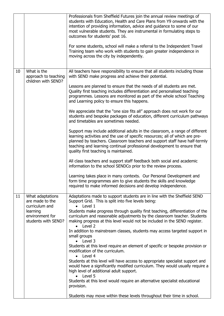|    |                                                                                                             | Professionals from Sheffield Futures join the annual review meetings of<br>students with Education, Health and Care Plans from Y9 onwards with the<br>intention of providing information, advice and guidance to some of our<br>most vulnerable students. They are instrumental in formulating steps to<br>outcomes for students' post 16.<br>For some students, school will make a referral to the Independent Travel<br>Training team who work with students to gain greater independence in<br>moving across the city by independently.                                                                                                                                                                                                                                                                                                                                                                                                                                                                                                                                                                                                                                                                                                                                                                                                       |
|----|-------------------------------------------------------------------------------------------------------------|--------------------------------------------------------------------------------------------------------------------------------------------------------------------------------------------------------------------------------------------------------------------------------------------------------------------------------------------------------------------------------------------------------------------------------------------------------------------------------------------------------------------------------------------------------------------------------------------------------------------------------------------------------------------------------------------------------------------------------------------------------------------------------------------------------------------------------------------------------------------------------------------------------------------------------------------------------------------------------------------------------------------------------------------------------------------------------------------------------------------------------------------------------------------------------------------------------------------------------------------------------------------------------------------------------------------------------------------------|
| 10 | What is the<br>approach to teaching<br>children with SEND?                                                  | All teachers have responsibility to ensure that all students including those<br>with SEND make progress and achieve their potential.<br>Lessons are planned to ensure that the needs of all students are met.<br>Quality first teaching includes differentiation and personalised teaching<br>programmes. Lessons are monitored as part of the whole school Teaching<br>and Learning policy to ensure this happens.<br>We appreciate that the "one size fits all" approach does not work for our<br>students and bespoke packages of education, different curriculum pathways<br>and timetables are sometimes needed.<br>Support may include additional adults in the classroom, a range of different<br>learning activities and the use of specific resources; all of which are pre-<br>planned by teachers. Classroom teachers and support staff have half-termly<br>teaching and learning continual professional development to ensure that<br>quality first teaching is maintained.<br>All class teachers and support staff feedback both social and academic<br>information to the school SENDCo prior to the review process.<br>Learning takes place in many contexts. Our Personal Development and<br>form time programmes aim to give students the skills and knowledge<br>required to make informed decisions and develop independence. |
| 11 | What adaptations<br>are made to the<br>curriculum and<br>learning<br>environment for<br>students with SEND? | Adaptations made to support students are in line with the Sheffield SEND<br>Support Grid. This is split into five levels being:<br>Level 1<br>$\bullet$<br>Students make progress through quality first teaching, differentiation of the<br>curriculum and reasonable adjustments by the classroom teacher. Students<br>making progress at this level would not be included in the SEND register.<br>$\bullet$ Level 2<br>In addition to mainstream classes, students may access targeted support in<br>small groups<br>$\bullet$ Level 3<br>Students at this level require an element of specific or bespoke provision or<br>modification of the curriculum.<br>$\bullet$ Level 4<br>Students at this level will have access to appropriate specialist support and<br>would have a significantly modified curriculum. They would usually require a<br>high level of additional adult support.<br>$\bullet$ Level 5<br>Students at this level would require an alternative specialist educational<br>provision.<br>Students may move within these levels throughout their time in school.                                                                                                                                                                                                                                                        |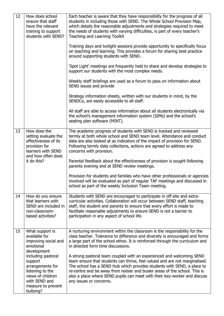| 12 | How does school<br>ensure that staff<br>have the relevant<br>training to support<br>students with SEND?                                                                                                                                | Each teacher is aware that they have responsibility for the progress of all<br>students in including those with SEND. The Whole School Provision Map,<br>which details the reasonable adjustments and strategies required to meet<br>the needs of students with varying difficulties, is part of every teacher's<br>Teaching and Learning Toolkit<br>Training days and twilight sessions provide opportunity to specifically focus<br>on teaching and learning. This provides a forum for sharing best practice<br>around supporting students with SEND.<br>'Spot Light' meetings are frequently held to share and develop strategies to<br>support our students with the most complex needs.<br>Weekly staff briefings are used as a forum to pass on information about<br>SEND issues and provide<br>Strategy information sheets, written with our students in mind, by the |
|----|----------------------------------------------------------------------------------------------------------------------------------------------------------------------------------------------------------------------------------------|-------------------------------------------------------------------------------------------------------------------------------------------------------------------------------------------------------------------------------------------------------------------------------------------------------------------------------------------------------------------------------------------------------------------------------------------------------------------------------------------------------------------------------------------------------------------------------------------------------------------------------------------------------------------------------------------------------------------------------------------------------------------------------------------------------------------------------------------------------------------------------|
|    |                                                                                                                                                                                                                                        | SENDCo, are easily accessible to all staff.<br>All staff are able to access information about all students electronically via<br>the school's management information system (SIMs) and the school's<br>seating plan software (MINT).                                                                                                                                                                                                                                                                                                                                                                                                                                                                                                                                                                                                                                          |
| 13 | How does the<br>setting evaluate the<br>effectiveness of its<br>provision for<br>learners with SEND<br>and how often does<br>it do this?                                                                                               | The academic progress of students with SEND is tracked and reviewed<br>termly at both whole school and SEND team level. Attendance and conduct<br>data are also looked at as indicators of the impact of provision for SEND.<br>Following termly data collections, actions are agreed to address any<br>concerns with provision.<br>Parental feedback about the effectiveness of provision is sought following<br>parents evening and at SEND review meetings.<br>Provision for students and families who have other professionals or agencies<br>involved will be evaluated as part of regular TAF meetings and discussed in<br>school as part of the weekly Inclusion Team meeting.                                                                                                                                                                                         |
| 14 | How do you ensure<br>that learners with<br>SEND are included in<br>non-classroom-<br>based activities?                                                                                                                                 | Students with SEND are encouraged to participate in off-site and extra-<br>curricular activities. Collaboration will occur between SEND staff, teaching<br>staff, the student and parents to ensure that every effort is made to<br>facilitate reasonable adjustments to ensure SEND is not a barrier to<br>participation in any aspect of school life.                                                                                                                                                                                                                                                                                                                                                                                                                                                                                                                       |
| 15 | What support is<br>available for<br>improving social and<br>emotional<br>development<br>including pastoral<br>support<br>arrangements for<br>listening to the<br>views of children<br>with SEND and<br>measure to prevent<br>bullying? | A nurturing environment within the classroom is the responsibility for the<br>class teacher. Tolerance to difference and diversity is encouraged and forms<br>a large part of the school ethos. It is reinforced through the curriculum and<br>in directed form time discussions.<br>A strong pastoral team coupled with an experienced and welcoming SEND<br>team ensure that students can thrive, feel valued and are not marginalised.<br>The school has a SEND Hub which provides students with SEND, a place to<br>re-centre and be away from noisier and busier areas of the school. This is<br>also a place where SEND pupils can meet with their key-worker and discuss<br>any issues or concerns.                                                                                                                                                                    |